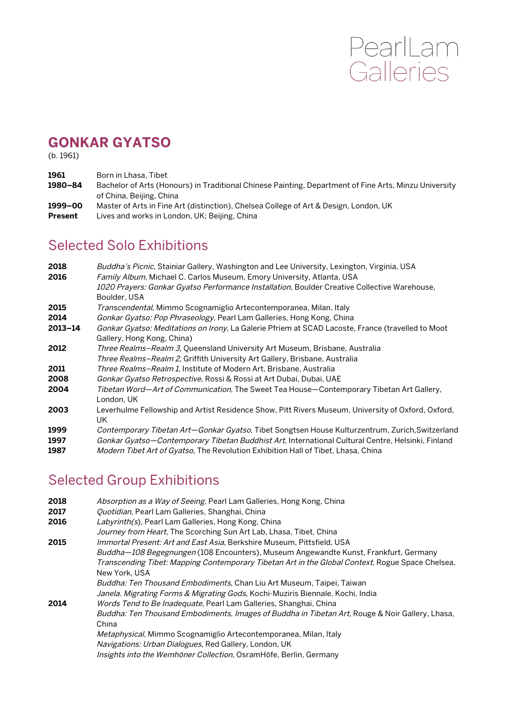# PearlLam<br>Galleries

# **GONKAR GYATSO**

(b. 1961)

- **1961** Born in Lhasa, Tibet
- **1980–84** Bachelor of Arts (Honours) in Traditional Chinese Painting, Department of Fine Arts, Minzu University of China, Beijing, China
- **1999–00** Master of Arts in Fine Art (distinction), Chelsea College of Art & Design, London, UK
- Present Lives and works in London, UK; Beijing, China

### Selected Solo Exhibitions

| 2018<br>2016 | Buddha's Picnic, Stainiar Gallery, Washington and Lee University, Lexington, Virginia, USA<br>Family Album, Michael C. Carlos Museum, Emory University, Atlanta, USA |
|--------------|----------------------------------------------------------------------------------------------------------------------------------------------------------------------|
|              | 1020 Prayers: Gonkar Gyatso Performance Installation, Boulder Creative Collective Warehouse,<br>Boulder, USA                                                         |
| 2015         | Transcendental, Mimmo Scognamiglio Artecontemporanea, Milan, Italy                                                                                                   |
| 2014         | Gonkar Gyatso: Pop Phraseology, Pearl Lam Galleries, Hong Kong, China                                                                                                |
| $2013 - 14$  | Gonkar Gyatso: Meditations on Irony, La Galerie Pfriem at SCAD Lacoste, France (travelled to Moot<br>Gallery, Hong Kong, China)                                      |
| 2012         | Three Realms-Realm 3, Queensland University Art Museum, Brisbane, Australia                                                                                          |
|              | Three Realms-Realm 2, Griffith University Art Gallery, Brisbane, Australia                                                                                           |
| 2011         | Three Realms-Realm 1, Institute of Modern Art, Brisbane, Australia                                                                                                   |
| 2008         | Gonkar Gyatso Retrospective, Rossi & Rossi at Art Dubai, Dubai, UAE                                                                                                  |
| 2004         | Tibetan Word-Art of Communication, The Sweet Tea House-Contemporary Tibetan Art Gallery,<br>London, UK                                                               |
| 2003         | Leverhulme Fellowship and Artist Residence Show, Pitt Rivers Museum, University of Oxford, Oxford,<br>UK                                                             |
| 1999         | Contemporary Tibetan Art-Gonkar Gyatso, Tibet Songtsen House Kulturzentrum, Zurich, Switzerland                                                                      |
| 1997         | Gonkar Gyatso—Contemporary Tibetan Buddhist Art, International Cultural Centre, Helsinki, Finland                                                                    |
| 1987         | <i>Modern Tibet Art of Gyatso</i> , The Revolution Exhibition Hall of Tibet, Lhasa, China                                                                            |

# Selected Group Exhibitions

| 2018 | Absorption as a Way of Seeing, Pearl Lam Galleries, Hong Kong, China                             |
|------|--------------------------------------------------------------------------------------------------|
| 2017 | Quotidian, Pearl Lam Galleries, Shanghai, China                                                  |
| 2016 | Labyrinth(s), Pearl Lam Galleries, Hong Kong, China                                              |
|      | Journey from Heart, The Scorching Sun Art Lab, Lhasa, Tibet, China                               |
| 2015 | <i>Immortal Present: Art and East Asia</i> , Berkshire Museum, Pittsfield, USA                   |
|      | Buddha-108 Begegnungen (108 Encounters), Museum Angewandte Kunst, Frankfurt, Germany             |
|      | Transcending Tibet: Mapping Contemporary Tibetan Art in the Global Context, Rogue Space Chelsea, |
|      | New York, USA                                                                                    |
|      | Buddha: Ten Thousand Embodiments, Chan Liu Art Museum, Taipei, Taiwan                            |
|      | Janela. Migrating Forms & Migrating Gods, Kochi-Muziris Biennale, Kochi, India                   |
| 2014 | <i>Words Tend to Be Inadequate, Pearl Lam Galleries, Shanghai, China</i>                         |
|      | Buddha: Ten Thousand Embodiments, Images of Buddha in Tibetan Art, Rouge & Noir Gallery, Lhasa,  |
|      | China                                                                                            |
|      | Metaphysical, Mimmo Scognamiglio Artecontemporanea, Milan, Italy                                 |
|      | Navigations: Urban Dialogues, Red Gallery, London, UK                                            |
|      | Insights into the Wemhöner Collection, OsramHöfe, Berlin, Germany                                |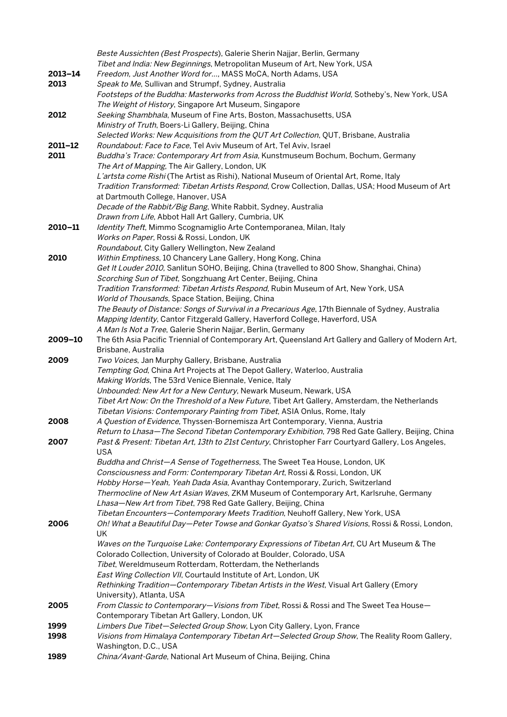|             | Beste Aussichten (Best Prospects), Galerie Sherin Najjar, Berlin, Germany                                                                                               |
|-------------|-------------------------------------------------------------------------------------------------------------------------------------------------------------------------|
|             | Tibet and India: New Beginnings, Metropolitan Museum of Art, New York, USA                                                                                              |
| $2013 - 14$ | Freedom, Just Another Word for, MASS MoCA, North Adams, USA                                                                                                             |
| 2013        | Speak to Me, Sullivan and Strumpf, Sydney, Australia                                                                                                                    |
|             | Footsteps of the Buddha: Masterworks from Across the Buddhist World, Sotheby's, New York, USA                                                                           |
|             | The Weight of History, Singapore Art Museum, Singapore                                                                                                                  |
| 2012        | Seeking Shambhala, Museum of Fine Arts, Boston, Massachusetts, USA                                                                                                      |
|             | Ministry of Truth, Boers-Li Gallery, Beijing, China                                                                                                                     |
|             | Selected Works: New Acquisitions from the QUT Art Collection, QUT, Brisbane, Australia                                                                                  |
| 2011-12     | Roundabout: Face to Face, Tel Aviv Museum of Art, Tel Aviv, Israel                                                                                                      |
| 2011        | Buddha's Trace: Contemporary Art from Asia, Kunstmuseum Bochum, Bochum, Germany                                                                                         |
|             | The Art of Mapping, The Air Gallery, London, UK                                                                                                                         |
|             | L'artsta come Rishi (The Artist as Rishi), National Museum of Oriental Art, Rome, Italy                                                                                 |
|             | Tradition Transformed: Tibetan Artists Respond, Crow Collection, Dallas, USA; Hood Museum of Art                                                                        |
|             | at Dartmouth College, Hanover, USA                                                                                                                                      |
|             | Decade of the Rabbit/Big Bang, White Rabbit, Sydney, Australia<br>Drawn from Life, Abbot Hall Art Gallery, Cumbria, UK                                                  |
| 2010-11     | Identity Theft, Mimmo Scognamiglio Arte Contemporanea, Milan, Italy                                                                                                     |
|             | Works on Paper, Rossi & Rossi, London, UK                                                                                                                               |
|             | Roundabout, City Gallery Wellington, New Zealand                                                                                                                        |
| 2010        | Within Emptiness, 10 Chancery Lane Gallery, Hong Kong, China                                                                                                            |
|             | Get It Louder 2010, Sanlitun SOHO, Beijing, China (travelled to 800 Show, Shanghai, China)                                                                              |
|             | Scorching Sun of Tibet, Songzhuang Art Center, Beijing, China                                                                                                           |
|             | Tradition Transformed: Tibetan Artists Respond, Rubin Museum of Art, New York, USA                                                                                      |
|             | World of Thousands, Space Station, Beijing, China                                                                                                                       |
|             | The Beauty of Distance: Songs of Survival in a Precarious Age, 17th Biennale of Sydney, Australia                                                                       |
|             | Mapping Identity, Cantor Fitzgerald Gallery, Haverford College, Haverford, USA                                                                                          |
|             | A Man Is Not a Tree, Galerie Sherin Najjar, Berlin, Germany                                                                                                             |
| 2009-10     | The 6th Asia Pacific Triennial of Contemporary Art, Queensland Art Gallery and Gallery of Modern Art,                                                                   |
|             | Brisbane, Australia                                                                                                                                                     |
| 2009        | Two Voices, Jan Murphy Gallery, Brisbane, Australia                                                                                                                     |
|             | Tempting God, China Art Projects at The Depot Gallery, Waterloo, Australia                                                                                              |
|             | Making Worlds, The 53rd Venice Biennale, Venice, Italy                                                                                                                  |
|             | Unbounded: New Art for a New Century, Newark Museum, Newark, USA                                                                                                        |
|             | Tibet Art Now: On the Threshold of a New Future, Tibet Art Gallery, Amsterdam, the Netherlands                                                                          |
| 2008        | Tibetan Visions: Contemporary Painting from Tibet, ASIA Onlus, Rome, Italy<br>A Question of Evidence, Thyssen-Bornemisza Art Contemporary, Vienna, Austria              |
|             | Return to Lhasa-The Second Tibetan Contemporary Exhibition, 798 Red Gate Gallery, Beijing, China                                                                        |
| 2007        | Past & Present: Tibetan Art, 13th to 21st Century, Christopher Farr Courtyard Gallery, Los Angeles,                                                                     |
|             | <b>USA</b>                                                                                                                                                              |
|             | Buddha and Christ-A Sense of Togetherness, The Sweet Tea House, London, UK                                                                                              |
|             | Consciousness and Form: Contemporary Tibetan Art, Rossi & Rossi, London, UK                                                                                             |
|             | Hobby Horse-Yeah, Yeah Dada Asia, Avanthay Contemporary, Zurich, Switzerland                                                                                            |
|             | Thermocline of New Art Asian Waves, ZKM Museum of Contemporary Art, Karlsruhe, Germany                                                                                  |
|             | Lhasa-New Art from Tibet, 798 Red Gate Gallery, Beijing, China                                                                                                          |
|             | Tibetan Encounters-Contemporary Meets Tradition, Neuhoff Gallery, New York, USA                                                                                         |
| 2006        | Oh! What a Beautiful Day-Peter Towse and Gonkar Gyatso's Shared Visions, Rossi & Rossi, London,                                                                         |
|             | UK                                                                                                                                                                      |
|             | Waves on the Turquoise Lake: Contemporary Expressions of Tibetan Art, CU Art Museum & The                                                                               |
|             | Colorado Collection, University of Colorado at Boulder, Colorado, USA                                                                                                   |
|             | Tibet, Wereldmuseum Rotterdam, Rotterdam, the Netherlands                                                                                                               |
|             | East Wing Collection VII, Courtauld Institute of Art, London, UK                                                                                                        |
|             | Rethinking Tradition-Contemporary Tibetan Artists in the West, Visual Art Gallery (Emory                                                                                |
|             | University), Atlanta, USA                                                                                                                                               |
| 2005        | From Classic to Contemporary-Visions from Tibet, Rossi & Rossi and The Sweet Tea House-                                                                                 |
| 1999        | Contemporary Tibetan Art Gallery, London, UK                                                                                                                            |
| 1998        | Limbers Due Tibet-Selected Group Show, Lyon City Gallery, Lyon, France<br>Visions from Himalaya Contemporary Tibetan Art-Selected Group Show, The Reality Room Gallery, |
|             | Washington, D.C., USA                                                                                                                                                   |
| 1989        | China/Avant-Garde, National Art Museum of China, Beijing, China                                                                                                         |
|             |                                                                                                                                                                         |